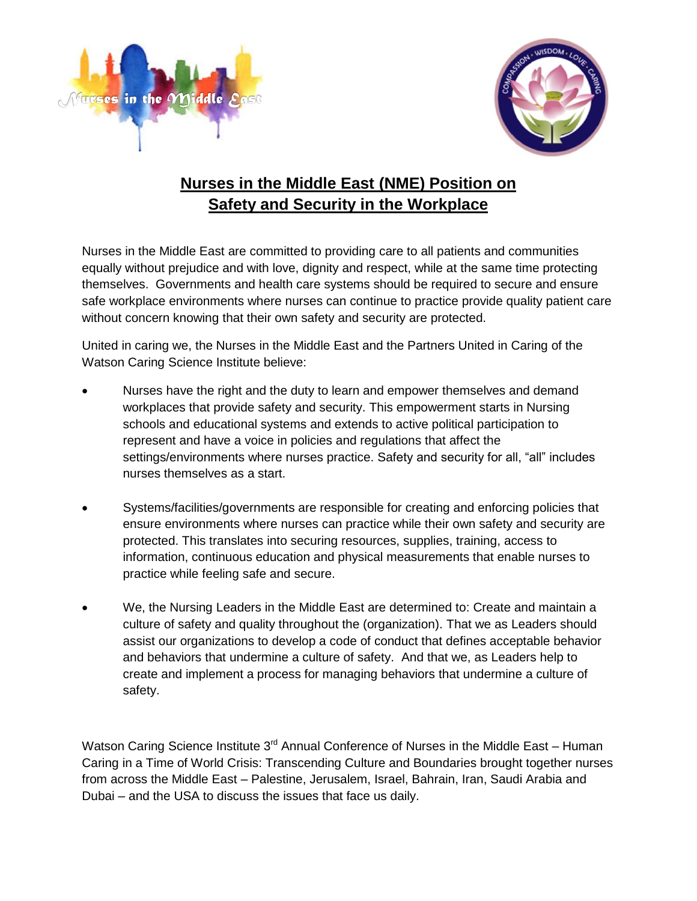



## **Nurses in the Middle East (NME) Position on Safety and Security in the Workplace**

Nurses in the Middle East are committed to providing care to all patients and communities equally without prejudice and with love, dignity and respect, while at the same time protecting themselves. Governments and health care systems should be required to secure and ensure safe workplace environments where nurses can continue to practice provide quality patient care without concern knowing that their own safety and security are protected.

United in caring we, the Nurses in the Middle East and the Partners United in Caring of the Watson Caring Science Institute believe:

- Nurses have the right and the duty to learn and empower themselves and demand workplaces that provide safety and security. This empowerment starts in Nursing schools and educational systems and extends to active political participation to represent and have a voice in policies and regulations that affect the settings/environments where nurses practice. Safety and security for all, "all" includes nurses themselves as a start.
- Systems/facilities/governments are responsible for creating and enforcing policies that ensure environments where nurses can practice while their own safety and security are protected. This translates into securing resources, supplies, training, access to information, continuous education and physical measurements that enable nurses to practice while feeling safe and secure.
- We, the Nursing Leaders in the Middle East are determined to: Create and maintain a culture of safety and quality throughout the (organization). That we as Leaders should assist our organizations to develop a code of conduct that defines acceptable behavior and behaviors that undermine a culture of safety. And that we, as Leaders help to create and implement a process for managing behaviors that undermine a culture of safety.

Watson Caring Science Institute 3<sup>rd</sup> Annual Conference of Nurses in the Middle East – Human Caring in a Time of World Crisis: Transcending Culture and Boundaries brought together nurses from across the Middle East – Palestine, Jerusalem, Israel, Bahrain, Iran, Saudi Arabia and Dubai – and the USA to discuss the issues that face us daily.